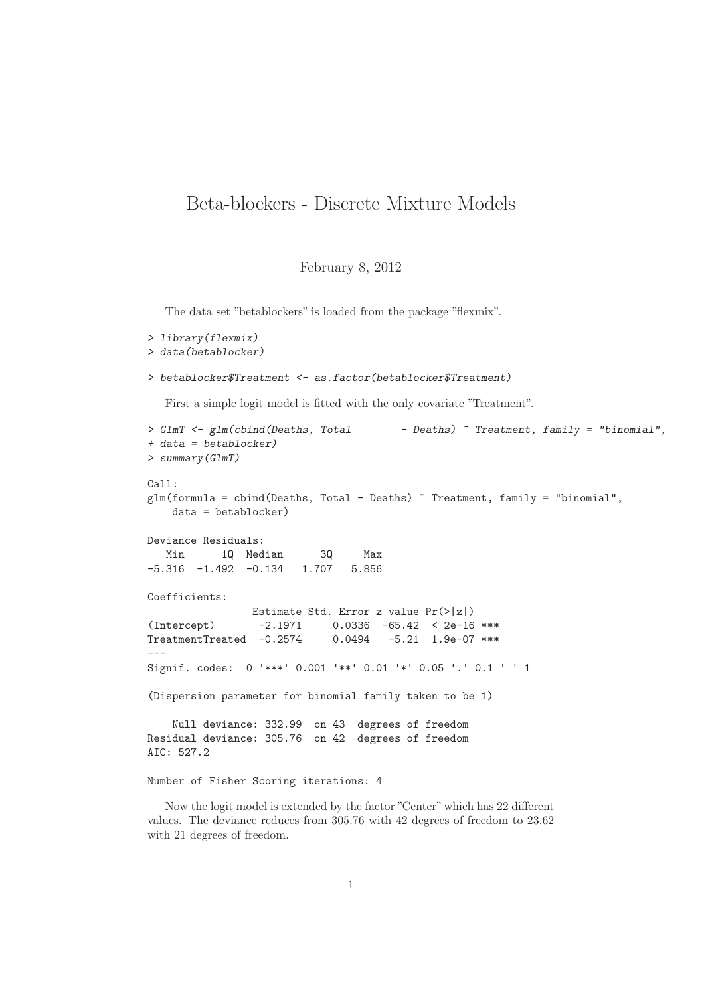## Beta-blockers - Discrete Mixture Models

February 8, 2012

The data set "betablockers" is loaded from the package "flexmix".

```
> library(flexmix)
> data(betablocker)
> betablocker$Treatment <- as.factor(betablocker$Treatment)
  First a simple logit model is fitted with the only covariate "Treatment".
> GlmT <- glm(cbind(Deaths, Total - Deaths) ~ Treatment, family = "binomial",
+ data = betablocker)
> summary(GlmT)
Call:
glm(formula = cbind(Deaths, Total - Deaths) ~ Treatment, family = "binomial",
   data = betablocker)
Deviance Residuals:
  Min 1Q Median 3Q Max
-5.316 -1.492 -0.134 1.707 5.856
Coefficients:
                Estimate Std. Error z value Pr(>|z|)
(Intercept) -2.1971 0.0336 -65.42 < 2e-16 ***
TreatmentTreated -0.2574 0.0494 -5.21 1.9e-07 ***
---
Signif. codes: 0 '***' 0.001 '**' 0.01 '*' 0.05 '.' 0.1 ' ' 1
(Dispersion parameter for binomial family taken to be 1)
   Null deviance: 332.99 on 43 degrees of freedom
Residual deviance: 305.76 on 42 degrees of freedom
AIC: 527.2
Number of Fisher Scoring iterations: 4
```
Now the logit model is extended by the factor "Center" which has 22 different values. The deviance reduces from 305.76 with 42 degrees of freedom to 23.62 with 21 degrees of freedom.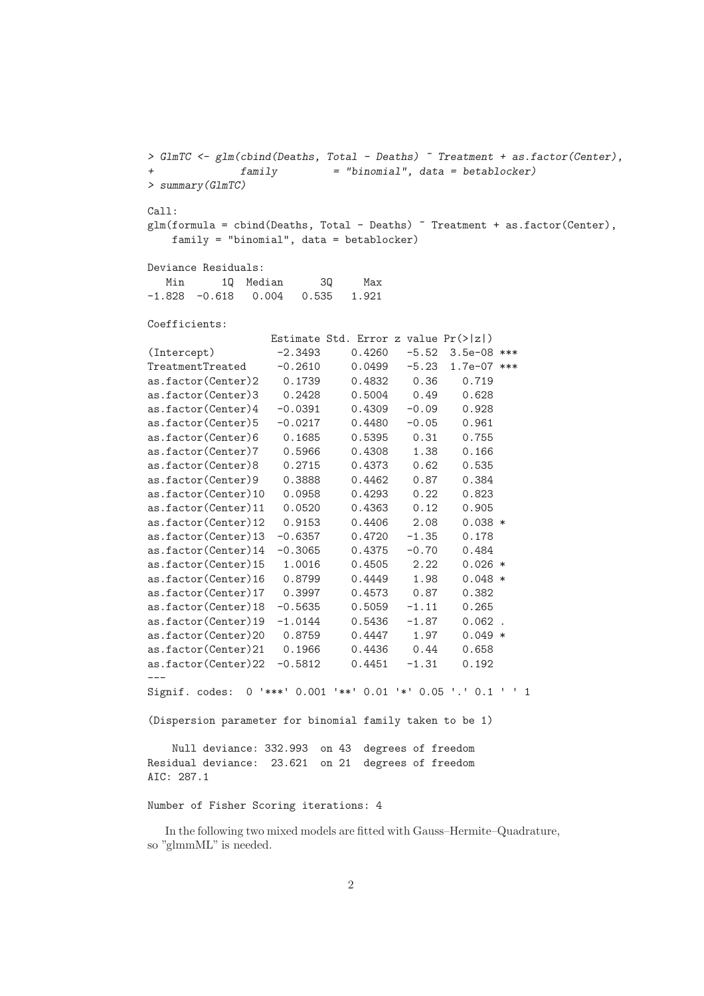```
> GlmTC <- glm(cbind(Deaths, Total - Deaths) ~ Treatment + as.factor(Center),
+ family = "binomial", data = betablocker)
> summary(GlmTC)
Call:
glm(formula = cbind(Deaths, Total - Deaths) ~ Treatment + as.factor(Center),
   family = "binomial", data = betablocker)
Deviance Residuals:
  Min 1Q Median 3Q Max
-1.828 -0.618 0.004 0.535 1.921
Coefficients:
                 Estimate Std. Error z value Pr(>|z|)
(Intercept) -2.3493 0.4260 -5.52 3.5e-08 ***
TreatmentTreated -0.2610 0.0499 -5.23 1.7e-07 ***
as.factor(Center)2 0.1739 0.4832 0.36 0.719
as.factor(Center)3 0.2428 0.5004 0.49 0.628
as.factor(Center)4 -0.0391 0.4309 -0.09 0.928
as.factor(Center)5 -0.0217 0.4480 -0.05 0.961
as.factor(Center)6 0.1685 0.5395 0.31 0.755
as.factor(Center)7  0.5966  0.4308  1.38  0.166<br>as.factor(Center)8  0.2715  0.4373  0.62  0.535
as.factor(Center)8  0.2715  0.4373  0.62
as.factor(Center)9 0.3888 0.4462 0.87 0.384
as.factor(Center)10 0.0958 0.4293 0.22 0.823
as.factor(Center)11 0.0520 0.4363 0.12 0.905
as.factor(Center)12 0.9153 0.4406 2.08 0.038 *
as.factor(Center)13 -0.6357 0.4720 -1.35 0.178
as.factor(Center)14 -0.3065 0.4375 -0.70 0.484
as.factor(Center)15 1.0016 0.4505 2.22 0.026 *
as.factor(Center)16 0.8799 0.4449 1.98 0.048 *
as.factor(Center)17 0.3997 0.4573 0.87 0.382
as.factor(Center)18 -0.5635 0.5059 -1.11 0.265
as.factor(Center)19 -1.0144 0.5436 -1.87 0.062 .
as.factor(Center)20 0.8759 0.4447 1.97 0.049 *
as.factor(Center)21 0.1966 0.4436 0.44 0.658
as.factor(Center)22 -0.5812 0.4451 -1.31 0.192
---
Signif. codes: 0 '***' 0.001 '**' 0.01 '*' 0.05 '.' 0.1 ' ' 1
(Dispersion parameter for binomial family taken to be 1)
   Null deviance: 332.993 on 43 degrees of freedom
Residual deviance: 23.621 on 21 degrees of freedom
AIC: 287.1
Number of Fisher Scoring iterations: 4
```
In the following two mixed models are fitted with Gauss–Hermite–Quadrature, so "glmmML" is needed.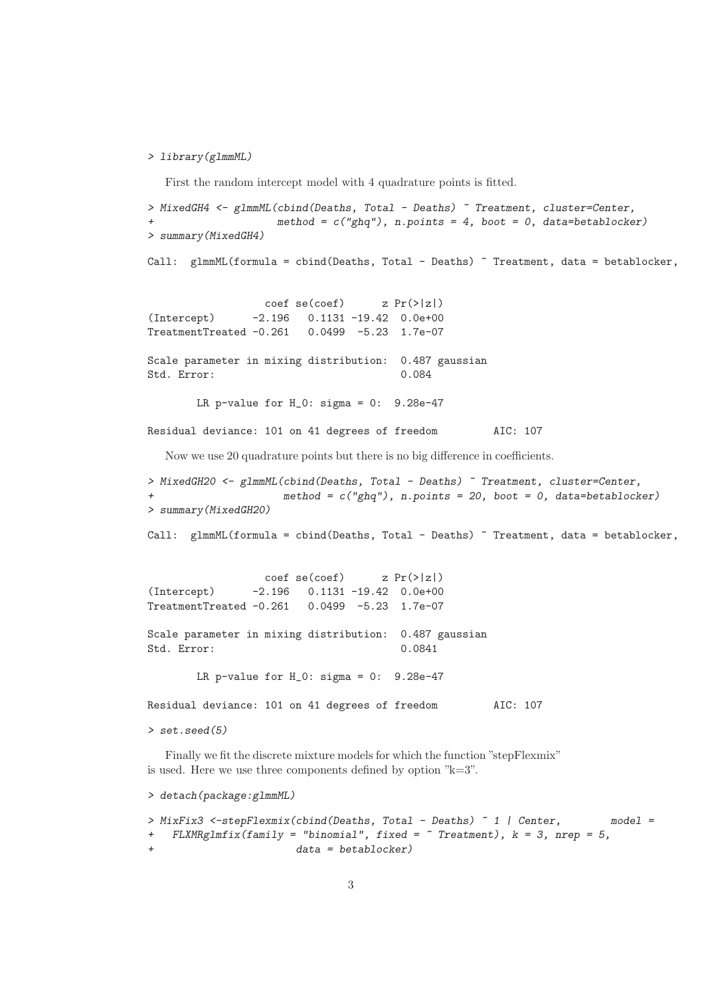## *> library(glmmML)*

First the random intercept model with 4 quadrature points is fitted.

```
> MixedGH4 <- glmmML(cbind(Deaths, Total - Deaths) ~ Treatment, cluster=Center,
                     + method = c("ghq"), n.points = 4, boot = 0, data=betablocker)
> summary(MixedGH4)
Call: glmmML(formula = cbind(Deaths, Total - Deaths) \tilde{ } Treatment, data = betablocker,
```
 $\c{o}$ ef se( $\c{o}$ ef) z Pr(>|z|) (Intercept) -2.196 0.1131 -19.42 0.0e+00  $TreatmentTreated -0.261$ 

Scale parameter in mixing distribution: 0.487 gaussian Std. Error: 0.084

LR p-value for  $H_0$ : sigma = 0: 9.28e-47

Residual deviance: 101 on 41 degrees of freedom AIC: 107

Now we use 20 quadrature points but there is no big difference in coefficients.

```
> MixedGH20 <- glmmML(cbind(Deaths, Total - Deaths) ~ Treatment, cluster=Center,
                      + method = c("ghq"), n.points = 20, boot = 0, data=betablocker)
> summary(MixedGH20)
```
Call: glmmML(formula = cbind(Deaths, Total - Deaths) ~ Treatment, data = betablocker,

 $\c{o}$  coef se(coef) z  $Pr(>|z|)$ (Intercept) -2.196 0.1131 -19.42 0.0e+00 TreatmentTreated -0.261 0.0499 -5.23 1.7e-07

Scale parameter in mixing distribution: 0.487 gaussian Std. Error: 0.0841

LR p-value for  $H_0$ : sigma = 0: 9.28e-47

Residual deviance: 101 on 41 degrees of freedom AIC: 107

*> set.seed(5)*

Finally we fit the discrete mixture models for which the function "stepFlexmix" is used. Here we use three components defined by option "k=3".

```
> detach(package:glmmML)
```

```
> MixFix3 <-stepFlexmix(cbind(Deaths, Total - Deaths) ~ 1 | Center, model =
+ FLXMRglmfix(family = "binomial", fixed = ~ Treatment), k = 3, nrep = 5,
                      + data = betablocker)
```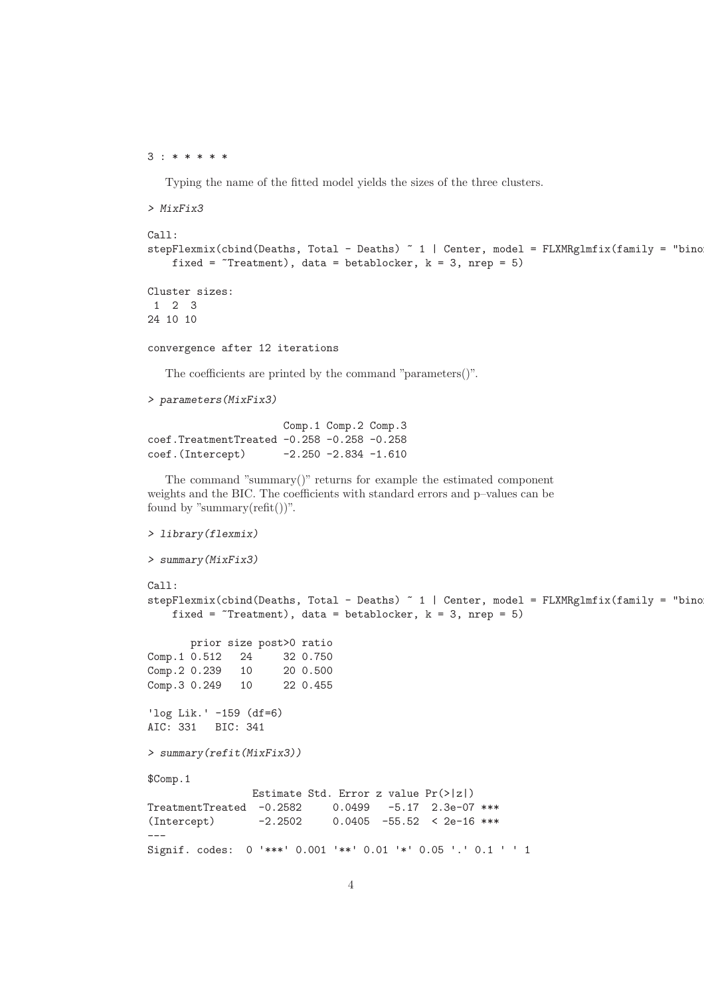## 3 : \* \* \* \* \*

Typing the name of the fitted model yields the sizes of the three clusters.

```
> MixFix3
Call:
stepFlexmix(cbind(Deaths, Total - Deaths) " 1 | Center, model = FLXMRglmfix(family = "bino"fixed = \text{``Treatment)}, data = betablocker, k = 3, nrep = 5)
Cluster sizes:
 1 2 3
24 10 10
```
convergence after 12 iterations

The coefficients are printed by the command "parameters()".

```
> parameters(MixFix3)
```

```
Comp.1 Comp.2 Comp.3
coef.TreatmentTreated -0.258 -0.258 -0.258
coef.(Intercept) -2.250 -2.834 -1.610
```
The command "summary()" returns for example the estimated component weights and the BIC. The coefficients with standard errors and p–values can be found by "summary $(refit())$ ".

```
> library(flexmix)
> summary(MixFix3)
Call:
stepFlexmix(cbind(Deaths, Total - Deaths) " 1 | Center, model = FLXMRglmfix(family = "bino"])fixed = \text{``Treatment)}, data = betablocker, k = 3, nrep = 5)
      prior size post>0 ratio
Comp.1 0.512 24 32 0.750
Comp. 2 0.239 10 20 0.500
Comp.3 0.249 10 22 0.455
'log Lik.' -159 (df=6)
AIC: 331 BIC: 341
> summary(refit(MixFix3))
$Comp.1
                Estimate Std. Error z value Pr(>|z|)
TreatmentTreated -0.2582 0.0499 -5.17 2.3e-07 ***
(Intercept) -2.2502 0.0405 -55.52 < 2e-16 ***
---
Signif. codes: 0 '***' 0.001 '**' 0.01 '*' 0.05 '.' 0.1 ' ' 1
```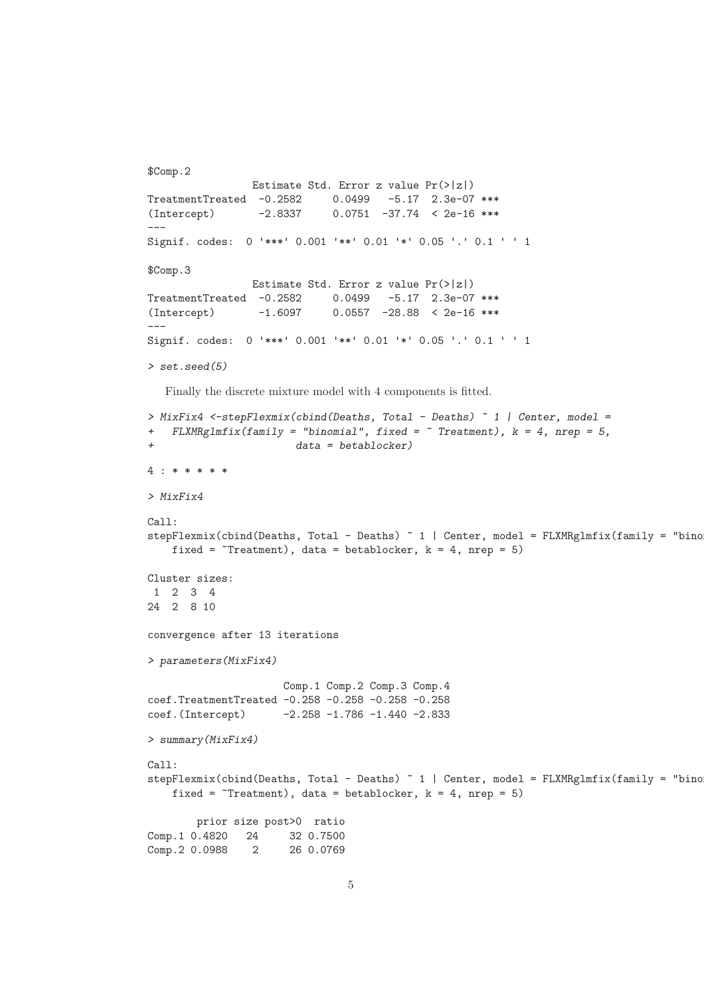```
$Comp.2
                Estimate Std. Error z value Pr(>|z|)
TreatmentTreated -0.2582 0.0499 -5.17 2.3e-07 ***
(Intercept) -2.8337 0.0751 -37.74 < 2e-16 ***
---
Signif. codes: 0 '***' 0.001 '**' 0.01 '*' 0.05 '.' 0.1 ' ' 1
$Comp.3
                Estimate Std. Error z value Pr(>|z|)
TreatmentTreated -0.2582 0.0499 -5.17 2.3e-07 ***
(Intercept) -1.6097 0.0557 -28.88 < 2e-16 ***
---
Signif. codes: 0 '***' 0.001 '**' 0.01 '*' 0.05 '.' 0.1 ' ' 1
> set.seed(5)
  Finally the discrete mixture model with 4 components is fitted.
> MixFix4 <-stepFlexmix(cbind(Deaths, Total - Deaths) ~ 1 | Center, model =
+ FLXMRglmfix(family = "binomial", fixed = ~ Treatment), k = 4, nrep = 5,
                        + data = betablocker)
4 : * * * * *
> MixFix4
C<sub>2</sub>11.
stepFlexmix(cbind(Deaths, Total - Deaths) ~ 1 | Center, model = FLXMRglmfix(family = "bino
    fixed = \text{``Treatment)}, data = betablocker, k = 4, nrep = 5)
Cluster sizes:
 1 2 3 4
24 2 8 10
convergence after 13 iterations
> parameters(MixFix4)
                      Comp.1 Comp.2 Comp.3 Comp.4
coef.TreatmentTreated -0.258 -0.258 -0.258 -0.258
coef.(Intercept) -2.258 -1.786 -1.440 -2.833
> summary(MixFix4)
Call:
stepFlexmix(cbind(Deaths, Total - Deaths) \tilde{ }} 1 | Center, model = FLXMRglmfix(family = "bino])fixed = \text{``Treatment)}, data = betablocker, k = 4, nrep = 5)
        prior size post>0 ratio
Comp.1 0.4820 24 32 0.7500
Comp. 2 0.0988 2 26 0.0769
```